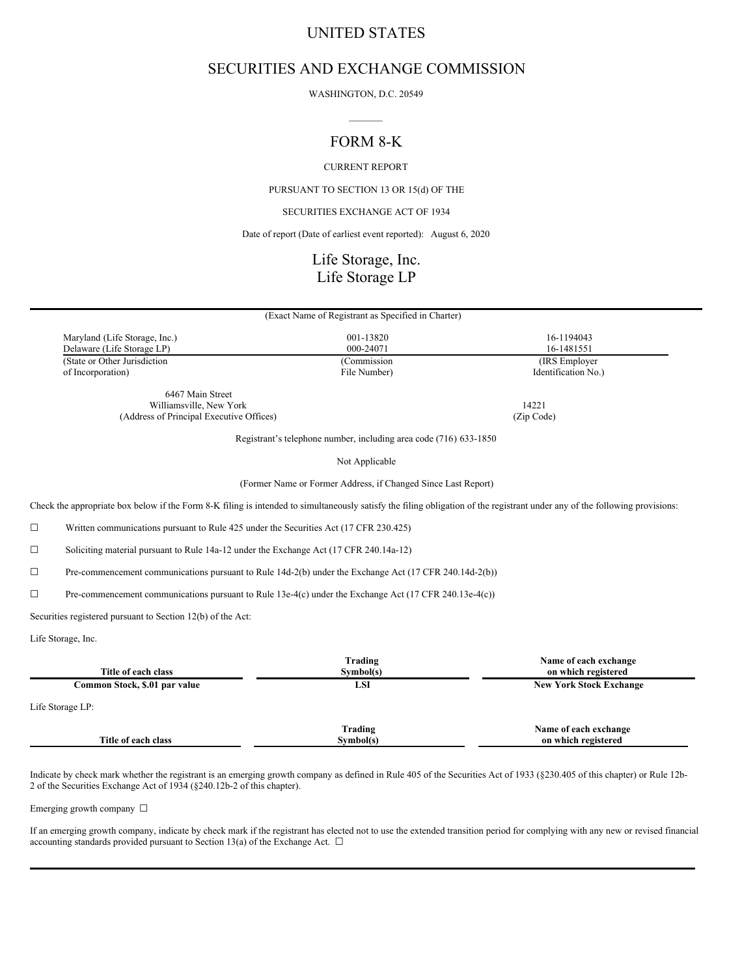# UNITED STATES

# SECURITIES AND EXCHANGE COMMISSION

WASHINGTON, D.C. 20549  $\mathcal{L}=\mathcal{L}$ 

# FORM 8-K

CURRENT REPORT

PURSUANT TO SECTION 13 OR 15(d) OF THE

SECURITIES EXCHANGE ACT OF 1934

Date of report (Date of earliest event reported): August 6, 2020

# Life Storage, Inc. Life Storage LP

|                               | (Exact Name of Registrant as Specified in Charter) |                     |  |
|-------------------------------|----------------------------------------------------|---------------------|--|
|                               |                                                    |                     |  |
| Maryland (Life Storage, Inc.) | 001-13820                                          | 16-1194043          |  |
| Delaware (Life Storage LP)    | 000-24071                                          | 16-1481551          |  |
| (State or Other Jurisdiction  | (Commission)                                       | (IRS Employer)      |  |
| of Incorporation)             | File Number)                                       | Identification No.) |  |
| 6467 Main Street              |                                                    |                     |  |
| Williamsville, New York       |                                                    | 14221               |  |

(Address of Principal Executive Offices) (Zip Code)

Registrant's telephone number, including area code (716) 633-1850

Not Applicable

(Former Name or Former Address, if Changed Since Last Report)

Check the appropriate box below if the Form 8-K filing is intended to simultaneously satisfy the filing obligation of the registrant under any of the following provisions:

☐ Written communications pursuant to Rule 425 under the Securities Act (17 CFR 230.425)

☐ Soliciting material pursuant to Rule 14a-12 under the Exchange Act (17 CFR 240.14a-12)

☐ Pre-commencement communications pursuant to Rule 14d-2(b) under the Exchange Act (17 CFR 240.14d-2(b))

☐ Pre-commencement communications pursuant to Rule 13e-4(c) under the Exchange Act (17 CFR 240.13e-4(c))

Securities registered pursuant to Section 12(b) of the Act:

Life Storage, Inc.

| Title of each class           | Trading<br>Symbol(s) | Name of each exchange<br>on which registered |
|-------------------------------|----------------------|----------------------------------------------|
| Common Stock, \$.01 par value | LSI                  | <b>New York Stock Exchange</b>               |
| Life Storage LP:              |                      |                                              |
| Title of each class           | Trading<br>Symbol(s) | Name of each exchange<br>on which registered |

Indicate by check mark whether the registrant is an emerging growth company as defined in Rule 405 of the Securities Act of 1933 (§230.405 of this chapter) or Rule 12b-2 of the Securities Exchange Act of 1934 (§240.12b-2 of this chapter).

Emerging growth company ☐

If an emerging growth company, indicate by check mark if the registrant has elected not to use the extended transition period for complying with any new or revised financial accounting standards provided pursuant to Section 13(a) of the Exchange Act.  $\Box$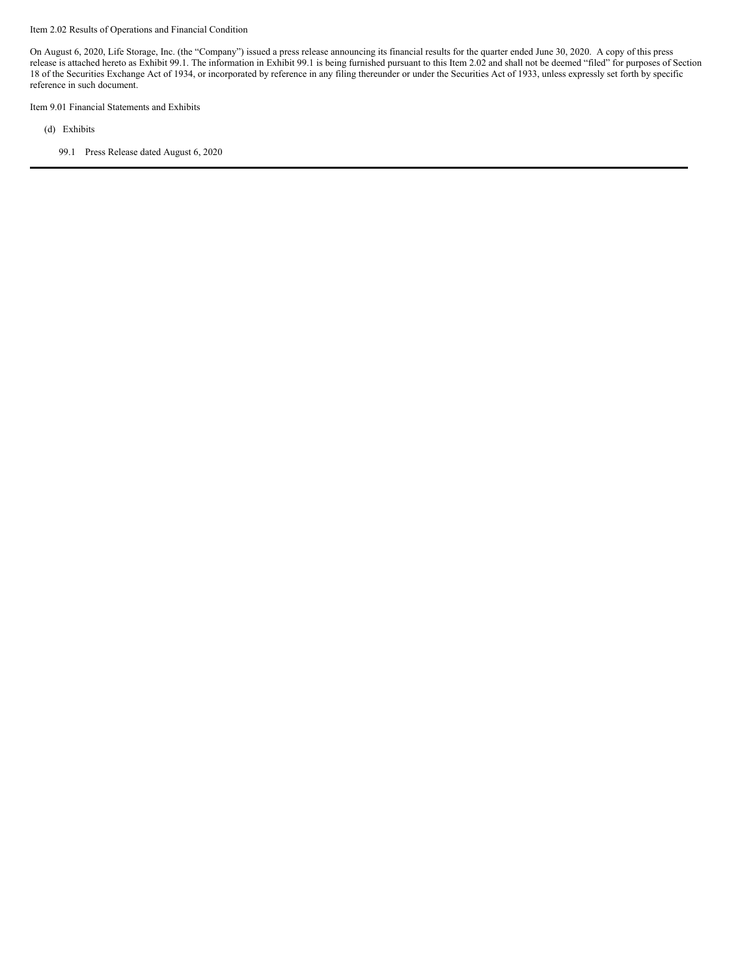#### Item 2.02 Results of Operations and Financial Condition

On August 6, 2020, Life Storage, Inc. (the "Company") issued a press release announcing its financial results for the quarter ended June 30, 2020. A copy of this press release is attached hereto as Exhibit 99.1. The information in Exhibit 99.1 is being furnished pursuant to this Item 2.02 and shall not be deemed "filed" for purposes of Section 18 of the Securities Exchange Act of 1934, or incorporated by reference in any filing thereunder or under the Securities Act of 1933, unless expressly set forth by specific reference in such document.

Item 9.01 Financial Statements and Exhibits

(d) Exhibits

99.1 Press Release dated August 6, 2020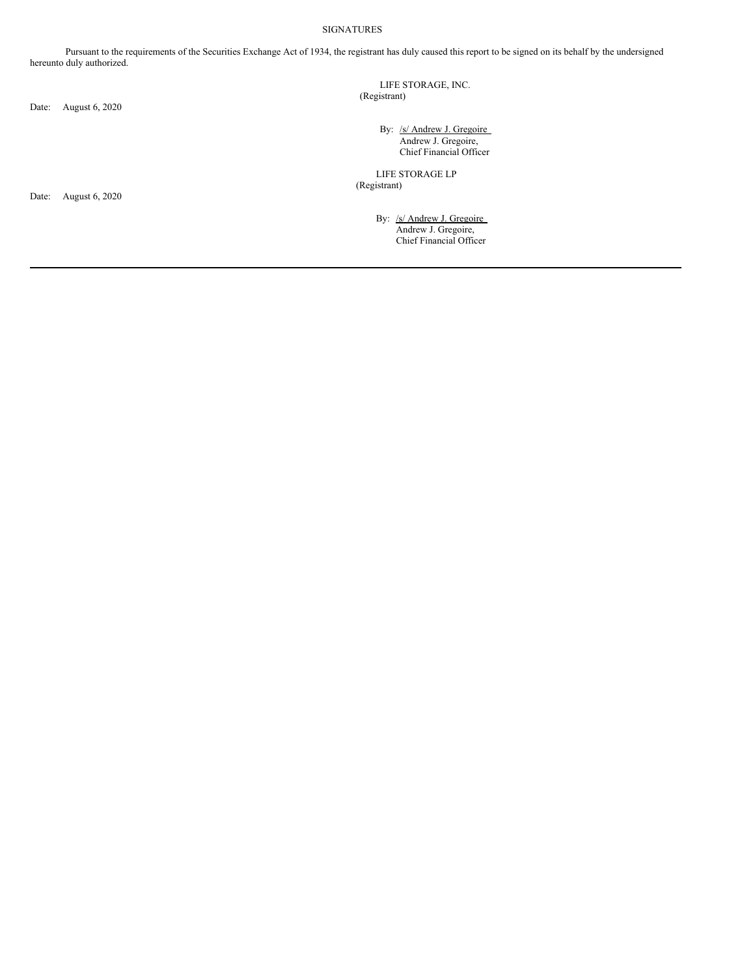#### SIGNATURES

Pursuant to the requirements of the Securities Exchange Act of 1934, the registrant has duly caused this report to be signed on its behalf by the undersigned hereunto duly authorized.

Date: August 6, 2020

LIFE STORAGE, INC. (Registrant)

> By: /s/ Andrew J. Gregoire Andrew J. Gregoire, Chief Financial Officer

LIFE STORAGE LP (Registrant)

> By: /s/ Andrew J. Gregoire Andrew J. Gregoire, Chief Financial Officer

Date: August 6, 2020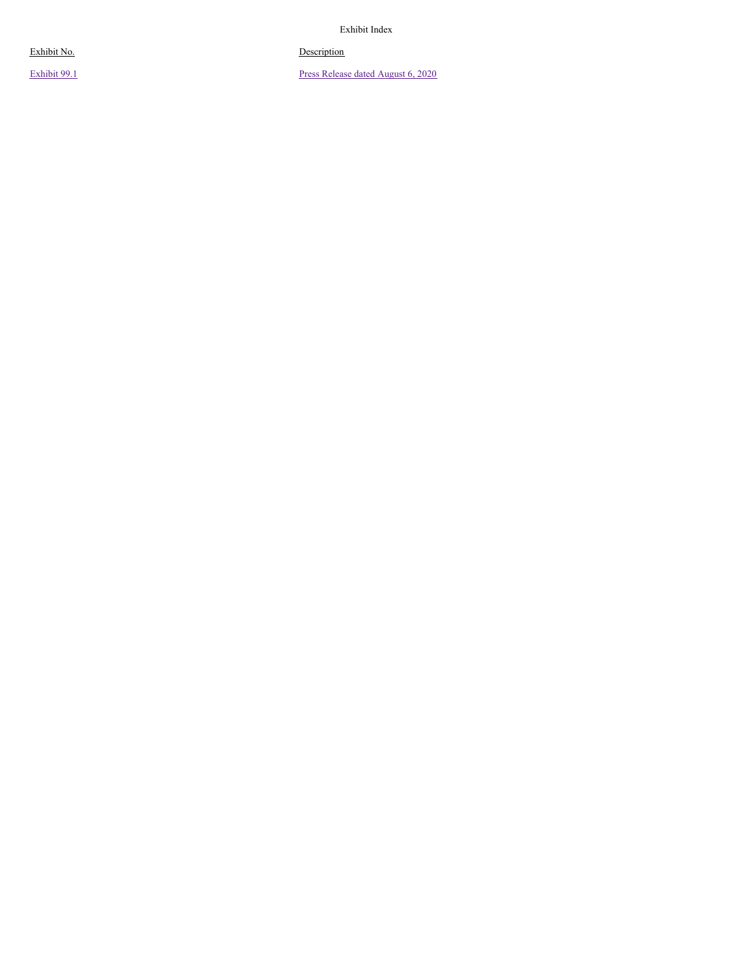Exhibit Index

#### o. De escription

Exhibit No Exhibit 9[9.1](#page-9-0)

Press Release dated August [6,](#page-9-0) 2020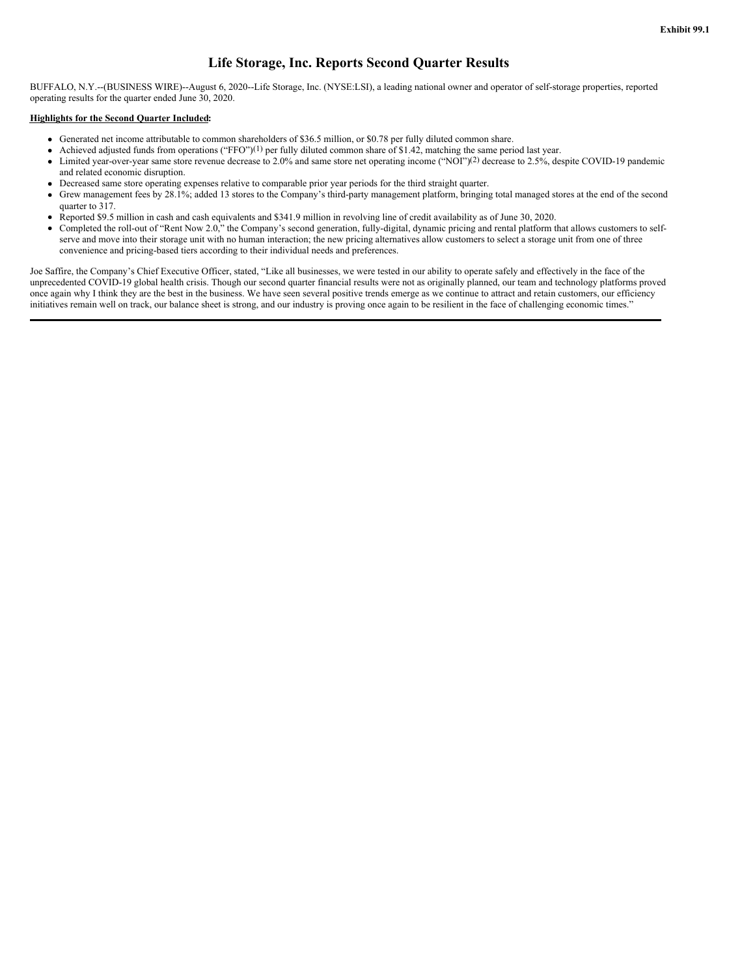## **Life Storage, Inc. Reports Second Quarter Results**

BUFFALO, N.Y.--(BUSINESS WIRE)--August 6, 2020--Life Storage, Inc. (NYSE:LSI), a leading national owner and operator of self-storage properties, reported operating results for the quarter ended June 30, 2020.

#### **Highlights for the Second Quarter Included:**

- Generated net income attributable to common shareholders of \$36.5 million, or \$0.78 per fully diluted common share.
- Achieved adjusted funds from operations ("FFO")<sup>(1)</sup> per fully diluted common share of \$1.42, matching the same period last year.
- Limited year-over-year same store revenue decrease to 2.0% and same store net operating income ("NOI")<sup>(2)</sup> decrease to 2.5%, despite COVID-19 pandemic and related economic disruption.
- Decreased same store operating expenses relative to comparable prior year periods for the third straight quarter.
- Grew management fees by 28.1%; added 13 stores to the Company's third-party management platform, bringing total managed stores at the end of the second  $\bullet$ quarter to 317.
- Reported \$9.5 million in cash and cash equivalents and \$341.9 million in revolving line of credit availability as of June 30, 2020.  $\bullet$
- Completed the roll-out of "Rent Now 2.0," the Company's second generation, fully-digital, dynamic pricing and rental platform that allows customers to selfserve and move into their storage unit with no human interaction; the new pricing alternatives allow customers to select a storage unit from one of three convenience and pricing-based tiers according to their individual needs and preferences.

Joe Saffire, the Company's Chief Executive Officer, stated, "Like all businesses, we were tested in our ability to operate safely and effectively in the face of the unprecedented COVID-19 global health crisis. Though our second quarter financial results were not as originally planned, our team and technology platforms proved once again why I think they are the best in the business. We have seen several positive trends emerge as we continue to attract and retain customers, our efficiency initiatives remain well on track, our balance sheet is strong, and our industry is proving once again to be resilient in the face of challenging economic times."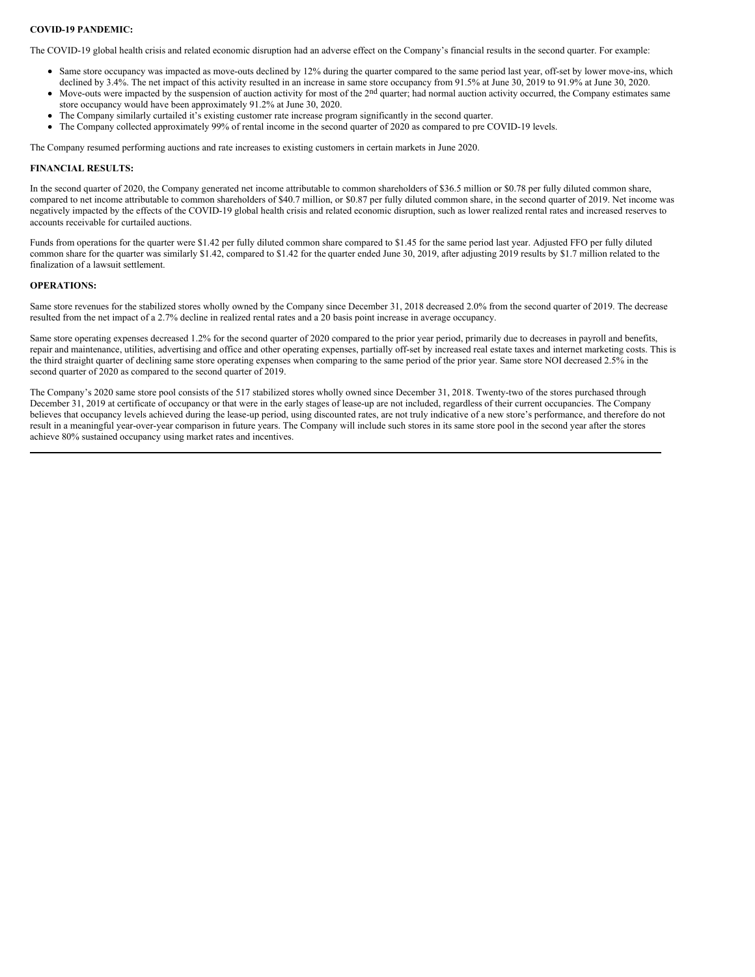#### **COVID-19 PANDEMIC:**

The COVID-19 global health crisis and related economic disruption had an adverse effect on the Company's financial results in the second quarter. For example:

- Same store occupancy was impacted as move-outs declined by 12% during the quarter compared to the same period last year, off-set by lower move-ins, which
- declined by 3.4%. The net impact of this activity resulted in an increase in same store occupancy from 91.5% at June 30, 2019 to 91.9% at June 30, 2020. Move-outs were impacted by the suspension of auction activity for most of the 2nd quarter; had normal auction activity occurred, the Company estimates same  $\bullet$
- store occupancy would have been approximately 91.2% at June 30, 2020.
- The Company similarly curtailed it's existing customer rate increase program significantly in the second quarter.
- The Company collected approximately 99% of rental income in the second quarter of 2020 as compared to pre COVID-19 levels.

The Company resumed performing auctions and rate increases to existing customers in certain markets in June 2020.

### **FINANCIAL RESULTS:**

In the second quarter of 2020, the Company generated net income attributable to common shareholders of \$36.5 million or \$0.78 per fully diluted common share, compared to net income attributable to common shareholders of \$40.7 million, or \$0.87 per fully diluted common share, in the second quarter of 2019. Net income was negatively impacted by the effects of the COVID-19 global health crisis and related economic disruption, such as lower realized rental rates and increased reserves to accounts receivable for curtailed auctions.

Funds from operations for the quarter were \$1.42 per fully diluted common share compared to \$1.45 for the same period last year. Adjusted FFO per fully diluted common share for the quarter was similarly \$1.42, compared to \$1.42 for the quarter ended June 30, 2019, after adjusting 2019 results by \$1.7 million related to the finalization of a lawsuit settlement.

#### **OPERATIONS:**

Same store revenues for the stabilized stores wholly owned by the Company since December 31, 2018 decreased 2.0% from the second quarter of 2019. The decrease resulted from the net impact of a 2.7% decline in realized rental rates and a 20 basis point increase in average occupancy.

Same store operating expenses decreased 1.2% for the second quarter of 2020 compared to the prior year period, primarily due to decreases in payroll and benefits, repair and maintenance, utilities, advertising and office and other operating expenses, partially off-set by increased real estate taxes and internet marketing costs. This is the third straight quarter of declining same store operating expenses when comparing to the same period of the prior year. Same store NOI decreased 2.5% in the second quarter of 2020 as compared to the second quarter of 2019.

The Company's 2020 same store pool consists of the 517 stabilized stores wholly owned since December 31, 2018. Twenty-two of the stores purchased through December 31, 2019 at certificate of occupancy or that were in the early stages of lease-up are not included, regardless of their current occupancies. The Company believes that occupancy levels achieved during the lease-up period, using discounted rates, are not truly indicative of a new store's performance, and therefore do not result in a meaningful year-over-year comparison in future years. The Company will include such stores in its same store pool in the second year after the stores achieve 80% sustained occupancy using market rates and incentives.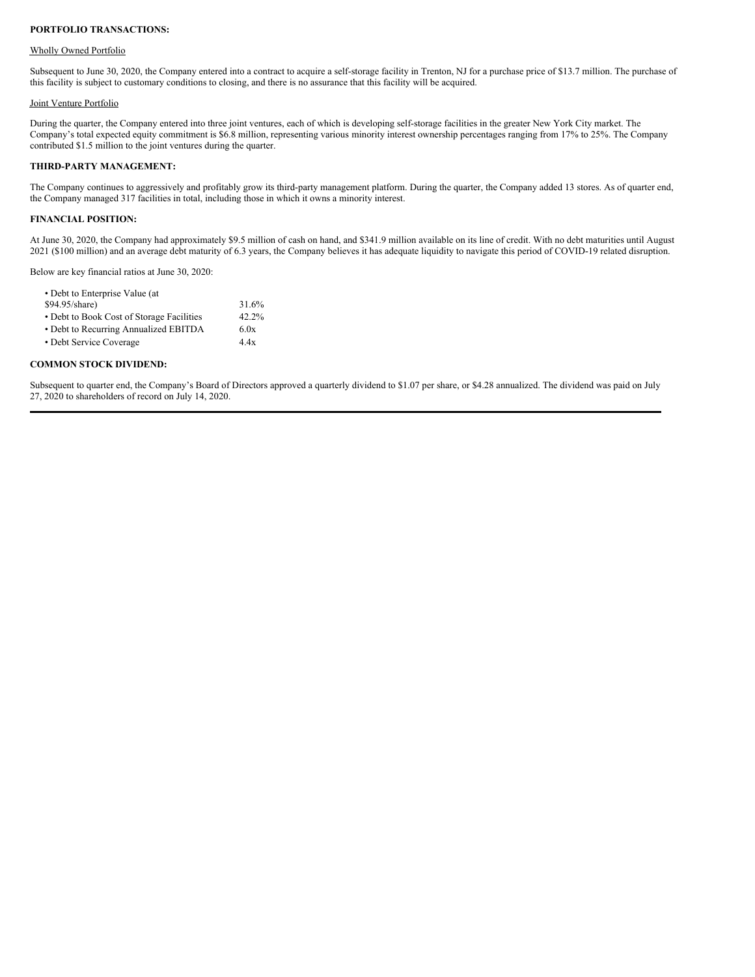#### **PORTFOLIO TRANSACTIONS:**

#### Wholly Owned Portfolio

Subsequent to June 30, 2020, the Company entered into a contract to acquire a self-storage facility in Trenton, NJ for a purchase price of \$13.7 million. The purchase of this facility is subject to customary conditions to closing, and there is no assurance that this facility will be acquired.

#### Joint Venture Portfolio

During the quarter, the Company entered into three joint ventures, each of which is developing self-storage facilities in the greater New York City market. The Company's total expected equity commitment is \$6.8 million, representing various minority interest ownership percentages ranging from 17% to 25%. The Company contributed \$1.5 million to the joint ventures during the quarter.

#### **THIRD-PARTY MANAGEMENT:**

The Company continues to aggressively and profitably grow its third-party management platform. During the quarter, the Company added 13 stores. As of quarter end, the Company managed 317 facilities in total, including those in which it owns a minority interest.

#### **FINANCIAL POSITION:**

At June 30, 2020, the Company had approximately \$9.5 million of cash on hand, and \$341.9 million available on its line of credit. With no debt maturities until August 2021 (\$100 million) and an average debt maturity of 6.3 years, the Company believes it has adequate liquidity to navigate this period of COVID-19 related disruption.

Below are key financial ratios at June 30, 2020:

| • Debt to Enterprise Value (at            |          |
|-------------------------------------------|----------|
| \$94.95/share)                            | 31.6%    |
| • Debt to Book Cost of Storage Facilities | $42.2\%$ |
| • Debt to Recurring Annualized EBITDA     | 6.0x     |
| • Debt Service Coverage                   | 44x      |
|                                           |          |

#### **COMMON STOCK DIVIDEND:**

Subsequent to quarter end, the Company's Board of Directors approved a quarterly dividend to \$1.07 per share, or \$4.28 annualized. The dividend was paid on July 27, 2020 to shareholders of record on July 14, 2020.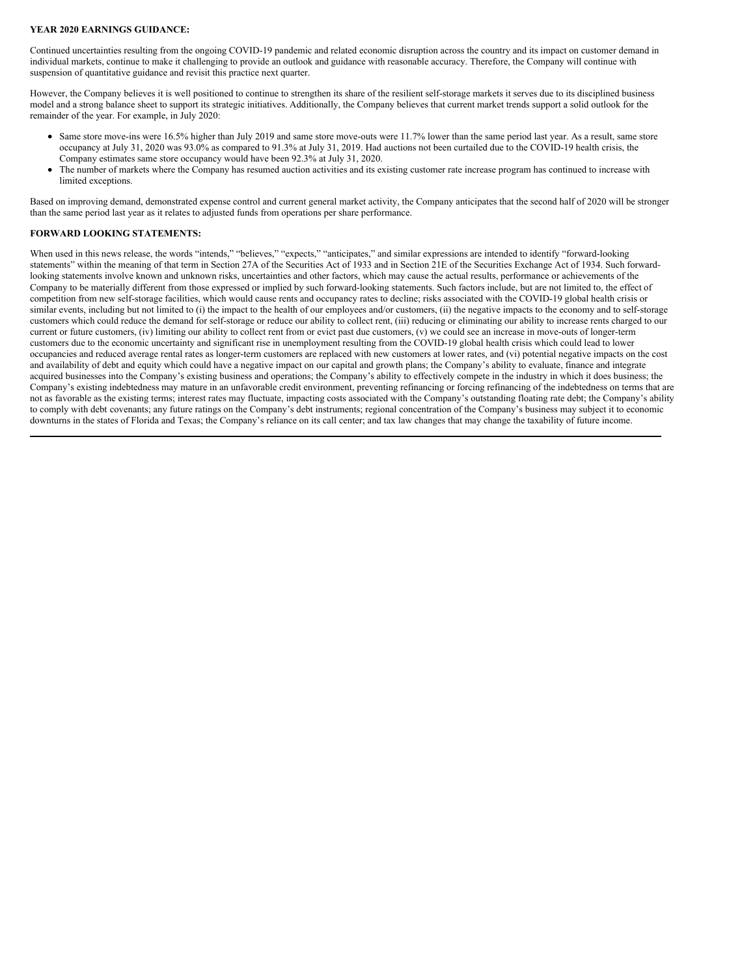#### **YEAR 2020 EARNINGS GUIDANCE:**

Continued uncertainties resulting from the ongoing COVID-19 pandemic and related economic disruption across the country and its impact on customer demand in individual markets, continue to make it challenging to provide an outlook and guidance with reasonable accuracy. Therefore, the Company will continue with suspension of quantitative guidance and revisit this practice next quarter.

However, the Company believes it is well positioned to continue to strengthen its share of the resilient self-storage markets it serves due to its disciplined business model and a strong balance sheet to support its strategic initiatives. Additionally, the Company believes that current market trends support a solid outlook for the remainder of the year. For example, in July 2020:

- Same store move-ins were 16.5% higher than July 2019 and same store move-outs were 11.7% lower than the same period last year. As a result, same store occupancy at July 31, 2020 was 93.0% as compared to 91.3% at July 31, 2019. Had auctions not been curtailed due to the COVID-19 health crisis, the Company estimates same store occupancy would have been 92.3% at July 31, 2020.
- The number of markets where the Company has resumed auction activities and its existing customer rate increase program has continued to increase with limited exceptions.

Based on improving demand, demonstrated expense control and current general market activity, the Company anticipates that the second half of 2020 will be stronger than the same period last year as it relates to adjusted funds from operations per share performance.

#### **FORWARD LOOKING STATEMENTS:**

When used in this news release, the words "intends," "believes," "expects," "anticipates," and similar expressions are intended to identify "forward-looking statements" within the meaning of that term in Section 27A of the Securities Act of 1933 and in Section 21E of the Securities Exchange Act of 1934. Such forwardlooking statements involve known and unknown risks, uncertainties and other factors, which may cause the actual results, performance or achievements of the Company to be materially different from those expressed or implied by such forward-looking statements. Such factors include, but are not limited to, the effect of competition from new self-storage facilities, which would cause rents and occupancy rates to decline; risks associated with the COVID-19 global health crisis or similar events, including but not limited to (i) the impact to the health of our employees and/or customers, (ii) the negative impacts to the economy and to self-storage customers which could reduce the demand for self-storage or reduce our ability to collect rent, (iii) reducing or eliminating our ability to increase rents charged to our current or future customers, (iv) limiting our ability to collect rent from or evict past due customers, (v) we could see an increase in move-outs of longer-term customers due to the economic uncertainty and significant rise in unemployment resulting from the COVID-19 global health crisis which could lead to lower occupancies and reduced average rental rates as longer-term customers are replaced with new customers at lower rates, and (vi) potential negative impacts on the cost and availability of debt and equity which could have a negative impact on our capital and growth plans; the Company's ability to evaluate, finance and integrate acquired businesses into the Company's existing business and operations; the Company's ability to effectively compete in the industry in which it does business; the Company's existing indebtedness may mature in an unfavorable credit environment, preventing refinancing or forcing refinancing of the indebtedness on terms that are not as favorable as the existing terms; interest rates may fluctuate, impacting costs associated with the Company's outstanding floating rate debt; the Company's ability to comply with debt covenants; any future ratings on the Company's debt instruments; regional concentration of the Company's business may subject it to economic downturns in the states of Florida and Texas; the Company's reliance on its call center; and tax law changes that may change the taxability of future income.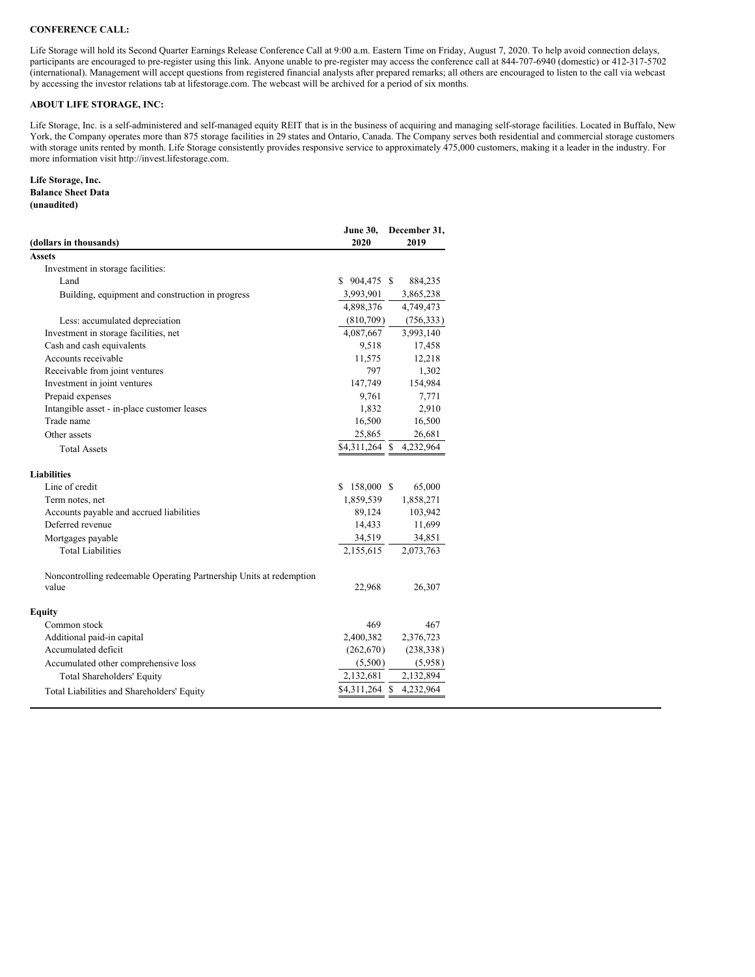#### **CONFERENCE CALL:**

Life Storage will hold its Second Quarter Earnings Release Conference Call at 9:00 a.m. Eastern Time on Friday, August 7, 2020. To help avoid connection delays, participants are encouraged to pre-register using this link. Anyone unable to pre-register may access the conference call at 844-707-6940 (domestic) or 412-317-5702 (international). Management will accept questions from registered financial analysts after prepared remarks; all others are encouraged to listen to the call via webcast by accessing the investor relations tab at lifestorage.com. The webcast will be archived for a period of six months.

#### **ABOUT LIFE STORAGE, INC:**

Life Storage, Inc. is a self-administered and self-managed equity REIT that is in the business of acquiring and managing self-storage facilities. Located in Buffalo, New York, the Company operates more than 875 storage facilities in 29 states and Ontario, Canada. The Company serves both residential and commercial storage customers with storage units rented by month. Life Storage consistently provides responsive service to approximately 475,000 customers, making it a leader in the industry. For more information visit http://invest.lifestorage.com.

#### **Life Storage, Inc. Balance Sheet Data (unaudited)**

| (dollars in thousands)                                              | June 30,<br>2020 | December 31,<br>2019    |
|---------------------------------------------------------------------|------------------|-------------------------|
| Assets                                                              |                  |                         |
| Investment in storage facilities:                                   |                  |                         |
| Land                                                                | $$904,475$ \$    | 884,235                 |
| Building, equipment and construction in progress                    | 3,993,901        | 3,865,238               |
|                                                                     | 4,898,376        | 4,749,473               |
| Less: accumulated depreciation                                      | (810,709)        | (756, 333)              |
| Investment in storage facilities, net                               | 4,087,667        | 3,993,140               |
| Cash and cash equivalents                                           | 9,518            | 17,458                  |
| Accounts receivable                                                 | 11,575           | 12,218                  |
| Receivable from joint ventures                                      | 797              | 1,302                   |
| Investment in joint ventures                                        | 147,749          | 154,984                 |
| Prepaid expenses                                                    | 9,761            | 7,771                   |
| Intangible asset - in-place customer leases                         | 1,832            | 2,910                   |
| Trade name                                                          | 16,500           | 16,500                  |
| Other assets                                                        | 25,865           | 26,681                  |
| <b>Total Assets</b>                                                 |                  | \$4,311,264 \$4,232,964 |
| Liabilities                                                         |                  |                         |
| Line of credit                                                      | 158,000 \$<br>S. | 65,000                  |
| Term notes, net                                                     | 1,859,539        | 1,858,271               |
| Accounts payable and accrued liabilities                            | 89,124           | 103,942                 |
| Deferred revenue                                                    | 14,433           | 11,699                  |
| Mortgages payable                                                   | 34,519           | 34,851                  |
| <b>Total Liabilities</b>                                            | 2,155,615        | 2,073,763               |
| Noncontrolling redeemable Operating Partnership Units at redemption |                  |                         |
| value                                                               | 22,968           | 26,307                  |
| Equity                                                              |                  |                         |
| Common stock                                                        | 469              | 467                     |
| Additional paid-in capital                                          | 2,400,382        | 2,376,723               |
| Accumulated deficit                                                 | (262,670)        | (238, 338)              |
| Accumulated other comprehensive loss                                | (5,500)          | (5,958)                 |
| <b>Total Shareholders' Equity</b>                                   | 2,132,681        | 2,132,894               |
| Total Liabilities and Shareholders' Equity                          | \$4,311,264 \$   | 4,232,964               |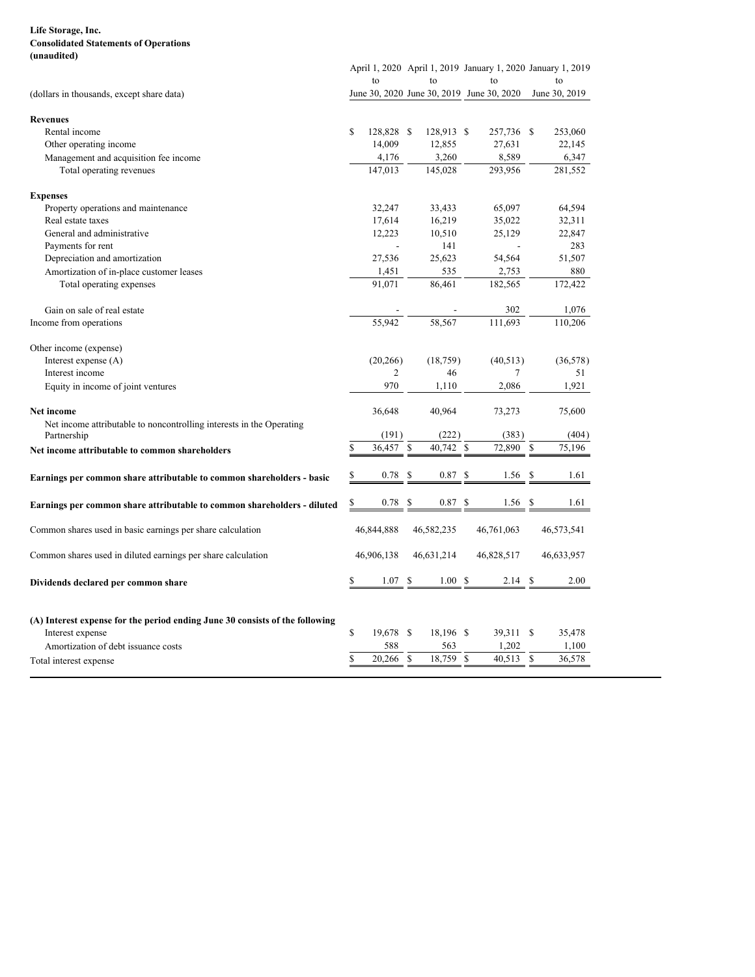#### <span id="page-9-0"></span>**Life Storage, Inc. Consolidated Statements of Operations (unaudited)**

|    | to             |                          | to                                               | to                                |                                                   |                                                                                                                                                                                                                                                      | to                                                                                               |
|----|----------------|--------------------------|--------------------------------------------------|-----------------------------------|---------------------------------------------------|------------------------------------------------------------------------------------------------------------------------------------------------------------------------------------------------------------------------------------------------------|--------------------------------------------------------------------------------------------------|
|    |                |                          |                                                  |                                   |                                                   |                                                                                                                                                                                                                                                      | June 30, 2019                                                                                    |
|    |                |                          |                                                  |                                   |                                                   |                                                                                                                                                                                                                                                      |                                                                                                  |
| \$ |                |                          |                                                  |                                   |                                                   |                                                                                                                                                                                                                                                      | 253,060                                                                                          |
|    | 14,009         |                          | 12,855                                           |                                   |                                                   |                                                                                                                                                                                                                                                      | 22,145                                                                                           |
|    | 4,176          |                          | 3,260                                            |                                   |                                                   |                                                                                                                                                                                                                                                      | 6,347                                                                                            |
|    | 147,013        |                          | 145,028                                          |                                   |                                                   |                                                                                                                                                                                                                                                      | 281,552                                                                                          |
|    |                |                          |                                                  |                                   |                                                   |                                                                                                                                                                                                                                                      |                                                                                                  |
|    | 32,247         |                          | 33,433                                           |                                   |                                                   |                                                                                                                                                                                                                                                      | 64,594                                                                                           |
|    | 17,614         |                          | 16,219                                           |                                   |                                                   |                                                                                                                                                                                                                                                      | 32,311                                                                                           |
|    | 12,223         |                          | 10,510                                           |                                   |                                                   |                                                                                                                                                                                                                                                      | 22,847                                                                                           |
|    | $\overline{a}$ |                          | 141                                              |                                   | $\overline{a}$                                    |                                                                                                                                                                                                                                                      | 283                                                                                              |
|    | 27,536         |                          | 25,623                                           |                                   |                                                   |                                                                                                                                                                                                                                                      | 51,507                                                                                           |
|    | 1,451          |                          | 535                                              |                                   |                                                   |                                                                                                                                                                                                                                                      | 880                                                                                              |
|    | 91,071         |                          | 86,461                                           |                                   |                                                   |                                                                                                                                                                                                                                                      | 172,422                                                                                          |
|    |                |                          | $\overline{a}$                                   |                                   |                                                   |                                                                                                                                                                                                                                                      | 1,076                                                                                            |
|    | 55,942         |                          | 58,567                                           |                                   |                                                   |                                                                                                                                                                                                                                                      | 110,206                                                                                          |
|    |                |                          |                                                  |                                   |                                                   |                                                                                                                                                                                                                                                      |                                                                                                  |
|    |                |                          | (18, 759)                                        |                                   |                                                   |                                                                                                                                                                                                                                                      | (36,578)                                                                                         |
|    | $\overline{c}$ |                          | 46                                               |                                   | 7                                                 |                                                                                                                                                                                                                                                      | 51                                                                                               |
|    | 970            |                          | 1,110                                            |                                   |                                                   |                                                                                                                                                                                                                                                      | 1,921                                                                                            |
|    | 36,648         |                          | 40,964                                           |                                   |                                                   |                                                                                                                                                                                                                                                      | 75,600                                                                                           |
|    |                |                          |                                                  |                                   |                                                   |                                                                                                                                                                                                                                                      | (404)                                                                                            |
|    |                |                          |                                                  |                                   |                                                   |                                                                                                                                                                                                                                                      | 75,196                                                                                           |
|    |                |                          |                                                  |                                   |                                                   |                                                                                                                                                                                                                                                      |                                                                                                  |
| \$ | 0.78           | \$                       | 0.87                                             |                                   |                                                   | S                                                                                                                                                                                                                                                    | 1.61                                                                                             |
| \$ | 0.78           | \$                       |                                                  |                                   |                                                   |                                                                                                                                                                                                                                                      | 1.61                                                                                             |
|    |                |                          |                                                  |                                   |                                                   |                                                                                                                                                                                                                                                      | 46,573,541                                                                                       |
|    |                |                          |                                                  |                                   |                                                   |                                                                                                                                                                                                                                                      | 46,633,957                                                                                       |
|    | 1.07           | \$                       | 1.00S                                            |                                   | $2.14 \text{ }$ \$                                |                                                                                                                                                                                                                                                      | 2.00                                                                                             |
| S  |                |                          |                                                  |                                   |                                                   |                                                                                                                                                                                                                                                      |                                                                                                  |
|    |                |                          |                                                  |                                   |                                                   |                                                                                                                                                                                                                                                      |                                                                                                  |
|    |                |                          |                                                  |                                   |                                                   |                                                                                                                                                                                                                                                      |                                                                                                  |
| \$ | 19,678 \$      |                          | 18,196 \$                                        | 39,311 \$                         |                                                   |                                                                                                                                                                                                                                                      | 35,478                                                                                           |
|    | 588            |                          | 563                                              | 1,202                             |                                                   |                                                                                                                                                                                                                                                      | 1,100                                                                                            |
|    | \$             | 46,844,888<br>46,906,138 | 128,828 \$<br>(20, 266)<br>(191)<br>\$<br>36,457 | (222)<br>46,582,235<br>46,631,214 | 128,913 \$<br>40,742 \$<br>S<br>0.87 <sup>5</sup> | June 30, 2020 June 30, 2019 June 30, 2020<br>27,631<br>8,589<br>293,956<br>65,097<br>35,022<br>25,129<br>54,564<br>2,753<br>182,565<br>302<br>111,693<br>(40, 513)<br>2,086<br>73,273<br>(383)<br>72,890<br>1.56<br>1.56<br>46,761,063<br>46,828,517 | April 1, 2020 April 1, 2019 January 1, 2020 January 1, 2019<br>257,736 \$<br><sup>\$</sup><br>-S |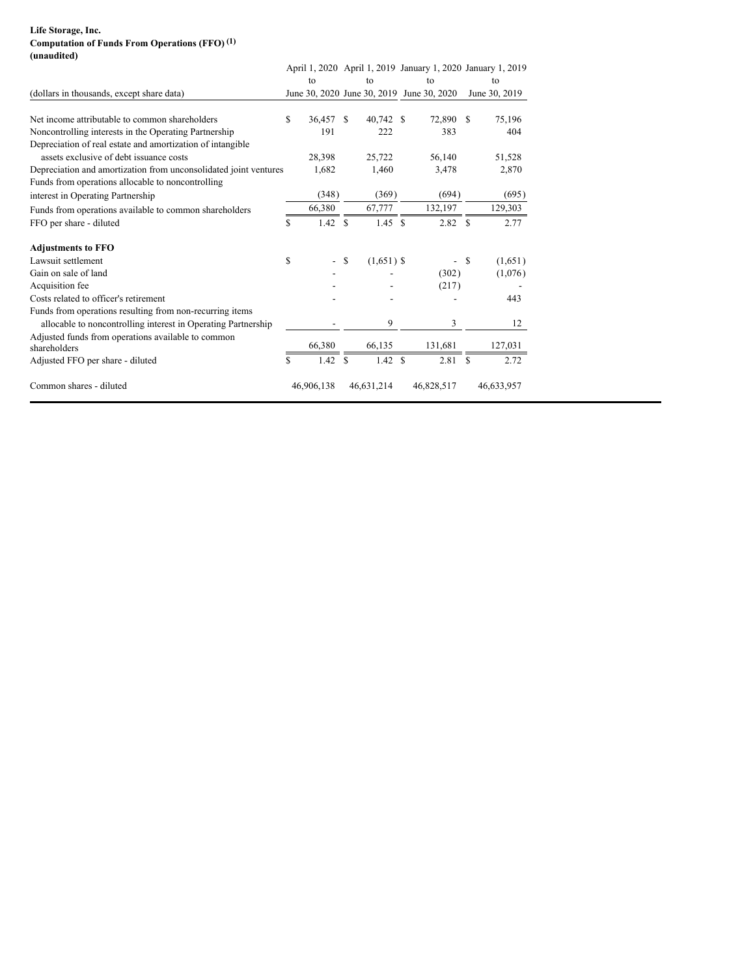#### **Life Storage, Inc. Computation of Funds From Operations (FFO) (1) (unaudited)**

|                                                                    |    |                          |               |              | April 1, 2020 April 1, 2019 January 1, 2020 January 1, 2019 |    |               |
|--------------------------------------------------------------------|----|--------------------------|---------------|--------------|-------------------------------------------------------------|----|---------------|
|                                                                    |    | to                       |               | to           | to                                                          |    | to            |
| (dollars in thousands, except share data)                          |    |                          |               |              | June 30, 2020 June 30, 2019 June 30, 2020                   |    | June 30, 2019 |
| Net income attributable to common shareholders                     | \$ | 36,457                   | -S            | 40,742 \$    | 72,890                                                      | -S | 75,196        |
| Noncontrolling interests in the Operating Partnership              |    | 191                      |               | 222          | 383                                                         |    | 404           |
| Depreciation of real estate and amortization of intangible         |    |                          |               |              |                                                             |    |               |
| assets exclusive of debt issuance costs                            |    | 28,398                   |               | 25,722       | 56,140                                                      |    | 51,528        |
| Depreciation and amortization from unconsolidated joint ventures   |    | 1,682                    |               | 1,460        | 3,478                                                       |    | 2,870         |
| Funds from operations allocable to noncontrolling                  |    |                          |               |              |                                                             |    |               |
| interest in Operating Partnership                                  |    | (348)                    |               | (369)        | (694)                                                       |    | (695)         |
| Funds from operations available to common shareholders             |    | 66,380                   |               | 67,777       | 132,197                                                     |    | 129,303       |
| FFO per share - diluted                                            | S  | $1.42 \quad$ \$          |               | 1.45 S       | 2.82 S                                                      |    | 2.77          |
| <b>Adjustments to FFO</b>                                          |    |                          |               |              |                                                             |    |               |
| Lawsuit settlement                                                 | \$ | $\overline{\phantom{0}}$ | <sup>\$</sup> | $(1,651)$ \$ | $\overline{\phantom{a}}$                                    | -S | (1,651)       |
| Gain on sale of land                                               |    |                          |               |              | (302)                                                       |    | (1,076)       |
| Acquisition fee                                                    |    |                          |               |              | (217)                                                       |    |               |
| Costs related to officer's retirement                              |    |                          |               |              |                                                             |    | 443           |
| Funds from operations resulting from non-recurring items           |    |                          |               |              |                                                             |    |               |
| allocable to noncontrolling interest in Operating Partnership      |    |                          |               | 9            | 3                                                           |    | 12            |
| Adjusted funds from operations available to common<br>shareholders |    | 66,380                   |               | 66,135       | 131,681                                                     |    | 127,031       |
| Adjusted FFO per share - diluted                                   | \$ | $1.42 \quad$ \$          |               | 1.42 S       | 2.81S                                                       |    | 2.72          |
| Common shares - diluted                                            |    | 46,906,138               |               | 46,631,214   | 46,828,517                                                  |    | 46,633,957    |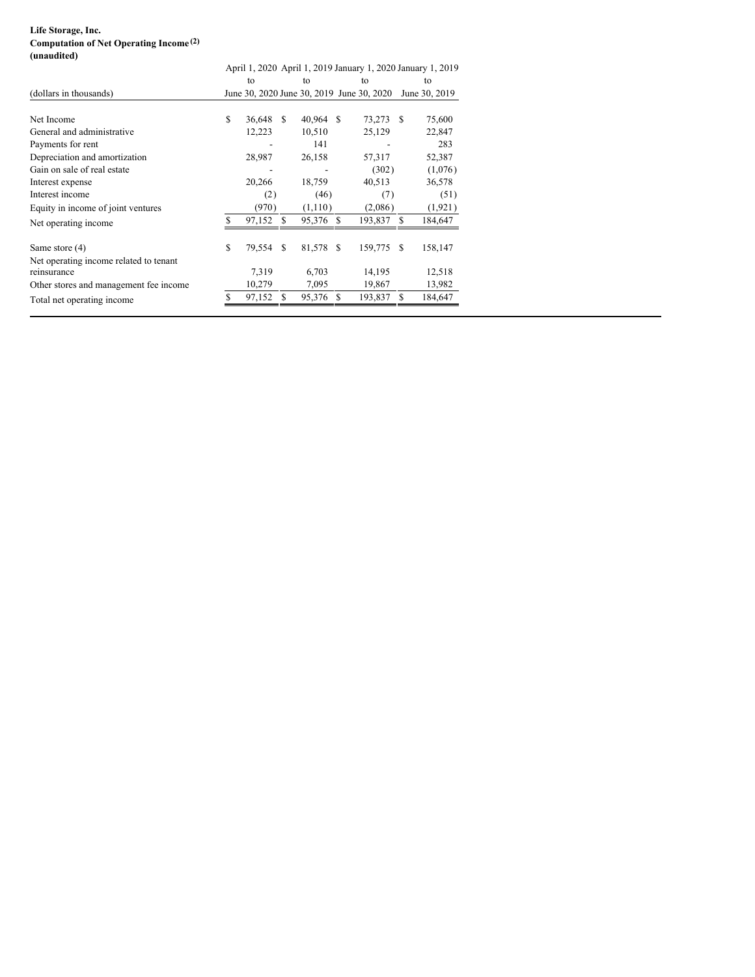#### **Life Storage, Inc. Computation of Net Operating Income (2) (unaudited)**

|                                                       |    |           |               |           |    |                                           |          | April 1, 2020 April 1, 2019 January 1, 2020 January 1, 2019 |
|-------------------------------------------------------|----|-----------|---------------|-----------|----|-------------------------------------------|----------|-------------------------------------------------------------|
|                                                       |    | to        |               | to        |    | to                                        |          | to                                                          |
| (dollars in thousands)                                |    |           |               |           |    | June 30, 2020 June 30, 2019 June 30, 2020 |          | June 30, 2019                                               |
| Net Income                                            | \$ | 36,648    | -S            | 40,964 \$ |    | 73,273                                    | <b>S</b> | 75,600                                                      |
| General and administrative                            |    | 12,223    |               | 10,510    |    | 25,129                                    |          | 22,847                                                      |
| Payments for rent                                     |    |           |               | 141       |    |                                           |          | 283                                                         |
| Depreciation and amortization                         |    | 28,987    |               | 26,158    |    | 57,317                                    |          | 52,387                                                      |
| Gain on sale of real estate                           |    |           |               |           |    | (302)                                     |          | (1,076)                                                     |
| Interest expense                                      |    | 20,266    |               | 18,759    |    | 40,513                                    |          | 36,578                                                      |
| Interest income                                       |    | (2)       |               | (46)      |    | (7)                                       |          | (51)                                                        |
| Equity in income of joint ventures                    |    | (970)     |               | (1,110)   |    | (2,086)                                   |          | (1, 921)                                                    |
| Net operating income                                  |    | 97,152    | £.            | 95,376    | -S | 193,837                                   | S        | 184,647                                                     |
| Same store (4)                                        | \$ | 79,554 \$ |               | 81,578 \$ |    | 159,775                                   | S        | 158,147                                                     |
| Net operating income related to tenant<br>reinsurance |    | 7,319     |               | 6,703     |    | 14,195                                    |          | 12,518                                                      |
| Other stores and management fee income                |    | 10,279    |               | 7,095     |    | 19,867                                    |          | 13,982                                                      |
| Total net operating income.                           | S  | 97,152    | <sup>\$</sup> | 95,376    | S  | 193,837                                   | S        | 184,647                                                     |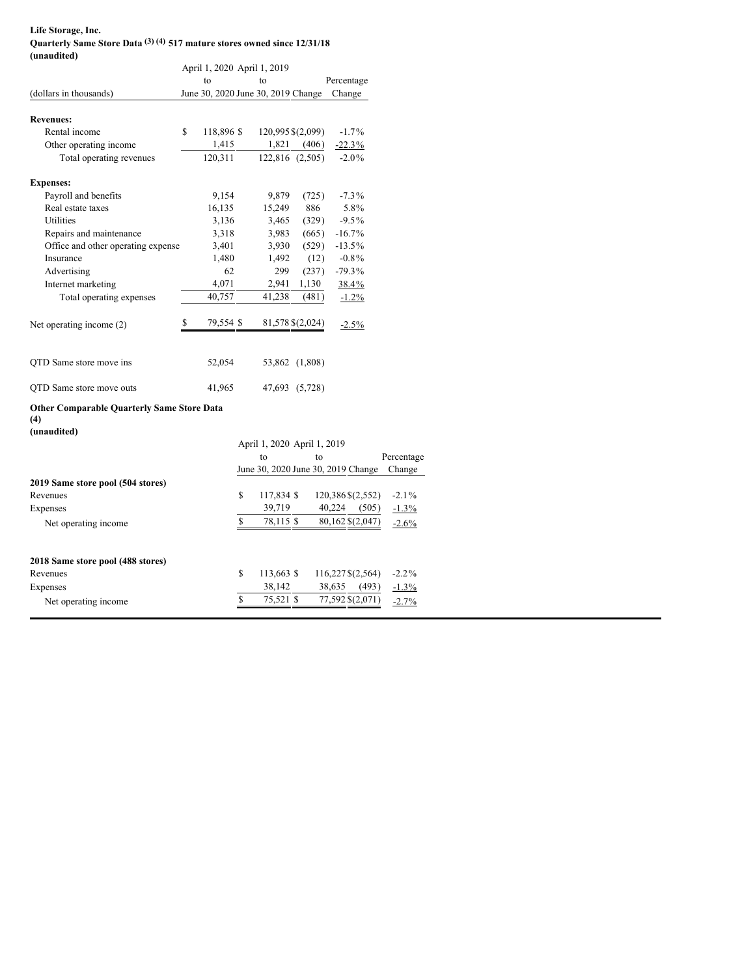#### **Life Storage, Inc. Quarterly Same Store Data (3) (4) 517 mature stores owned since 12/31/18 (unaudited)**

|                                                   | April 1, 2020 April 1, 2019 |    |                                    |                  |                                    |            |
|---------------------------------------------------|-----------------------------|----|------------------------------------|------------------|------------------------------------|------------|
|                                                   | to                          |    | to                                 |                  | Percentage                         |            |
| (dollars in thousands)                            |                             |    | June 30, 2020 June 30, 2019 Change |                  | Change                             |            |
|                                                   |                             |    |                                    |                  |                                    |            |
| <b>Revenues:</b>                                  |                             |    |                                    |                  |                                    |            |
| Rental income                                     | \$<br>118,896 \$            |    | 120,995 \$(2,099)                  |                  | $-1.7\%$                           |            |
| Other operating income                            | 1,415                       |    | 1,821                              | (406)            | $-22.3\%$                          |            |
| Total operating revenues                          | 120,311                     |    |                                    | 122,816 (2,505)  | $-2.0\%$                           |            |
| <b>Expenses:</b>                                  |                             |    |                                    |                  |                                    |            |
| Payroll and benefits                              | 9,154                       |    | 9,879                              | (725)            | $-7.3\%$                           |            |
| Real estate taxes                                 | 16,135                      |    | 15,249                             | 886              | 5.8%                               |            |
| <b>Utilities</b>                                  | 3,136                       |    | 3,465                              | (329)            | $-9.5\%$                           |            |
| Repairs and maintenance                           | 3,318                       |    | 3,983                              | (665)            | $-16.7\%$                          |            |
| Office and other operating expense                | 3,401                       |    | 3,930                              | (529)            | $-13.5\%$                          |            |
| Insurance                                         | 1,480                       |    | 1,492                              | (12)             | $-0.8\%$                           |            |
| Advertising                                       | 62                          |    | 299                                | (237)            | $-79.3%$                           |            |
| Internet marketing                                | 4,071                       |    | 2,941                              | 1,130            | 38.4%                              |            |
| Total operating expenses                          | 40,757                      |    | 41,238                             | (481)            | $-1.2\%$                           |            |
|                                                   |                             |    |                                    |                  |                                    |            |
| Net operating income (2)                          | \$<br>79,554 \$             |    |                                    | 81,578 \$(2,024) | $-2.5\%$                           |            |
|                                                   |                             |    |                                    |                  |                                    |            |
| QTD Same store move ins                           |                             |    |                                    |                  |                                    |            |
|                                                   | 52,054                      |    |                                    | 53,862 (1,808)   |                                    |            |
| QTD Same store move outs                          | 41,965                      |    |                                    | 47,693 (5,728)   |                                    |            |
| <b>Other Comparable Quarterly Same Store Data</b> |                             |    |                                    |                  |                                    |            |
| (4)                                               |                             |    |                                    |                  |                                    |            |
| (unaudited)                                       |                             |    |                                    |                  |                                    |            |
|                                                   |                             |    | April 1, 2020 April 1, 2019        |                  |                                    |            |
|                                                   |                             |    | to                                 | to               |                                    | Percentage |
|                                                   |                             |    |                                    |                  | June 30, 2020 June 30, 2019 Change | Change     |
| 2019 Same store pool (504 stores)                 |                             |    |                                    |                  |                                    |            |
| Revenues                                          |                             | \$ | 117,834 \$                         |                  | 120,386 \$(2,552)                  | $-2.1\%$   |
| Expenses                                          |                             |    | 39,719                             |                  | 40,224<br>(505)                    | $-1.3\%$   |
| Net operating income                              |                             | \$ | 78,115 \$                          |                  | 80,162 \$(2,047)                   | $-2.6\%$   |
|                                                   |                             |    |                                    |                  |                                    |            |
| 2018 Same store pool (488 stores)                 |                             |    |                                    |                  |                                    |            |
| Revenues                                          |                             | S  | 113,663 \$                         |                  | 116,227\$(2,564)                   | $-2.2\%$   |
| Expenses                                          |                             |    | 38,142                             |                  | 38,635<br>(493)                    | $-1.3\%$   |
|                                                   |                             | \$ | 75,521 \$                          |                  | 77,592 \$(2,071)                   | $-2.7%$    |
| Net operating income                              |                             |    |                                    |                  |                                    |            |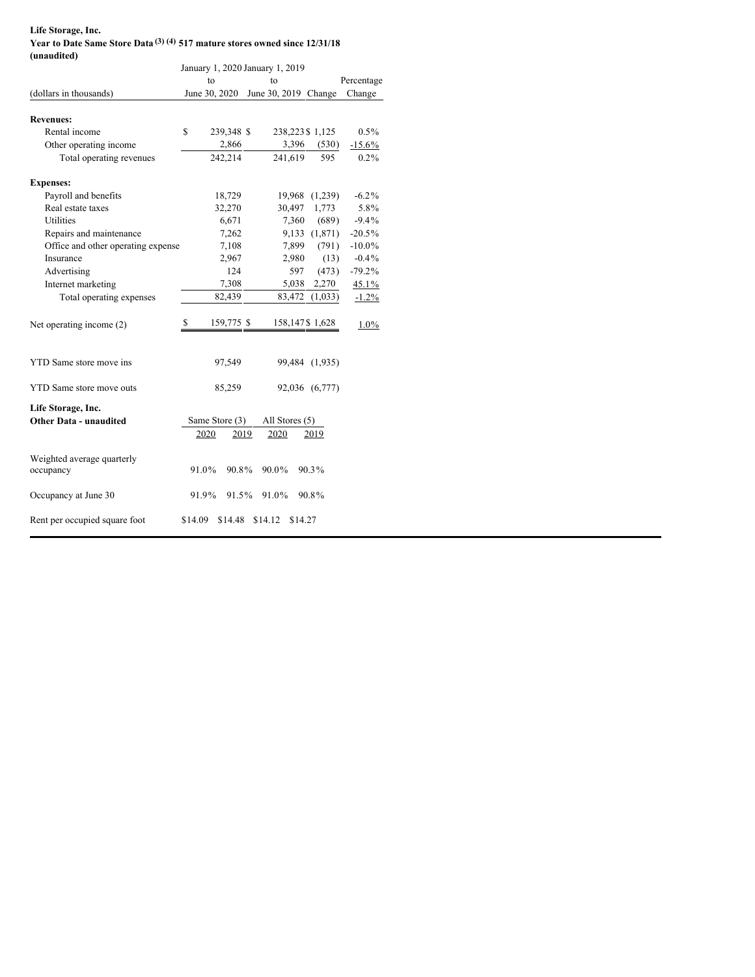#### **Life Storage, Inc. Year to Date Same Store Data (3) (4) 517 mature stores owned since 12/31/18 (unaudited)**

| $($ unuuuttu                            | January 1, 2020 January 1, 2019 |            |                      |                |                 |            |  |  |
|-----------------------------------------|---------------------------------|------------|----------------------|----------------|-----------------|------------|--|--|
|                                         | to                              |            | to                   |                |                 | Percentage |  |  |
| (dollars in thousands)                  | June 30, 2020                   |            | June 30, 2019 Change |                |                 | Change     |  |  |
|                                         |                                 |            |                      |                |                 |            |  |  |
| <b>Revenues:</b>                        |                                 |            |                      |                |                 |            |  |  |
| Rental income                           | S                               | 239,348 \$ |                      |                | 238,223 \$1,125 | $0.5\%$    |  |  |
| Other operating income                  |                                 | 2,866      |                      | 3,396          | (530)           | $-15.6%$   |  |  |
| Total operating revenues                |                                 | 242,214    |                      | 241,619        | 595             | $0.2\%$    |  |  |
| <b>Expenses:</b>                        |                                 |            |                      |                |                 |            |  |  |
| Payroll and benefits                    |                                 | 18,729     |                      |                | 19,968 (1,239)  | $-6.2\%$   |  |  |
| Real estate taxes                       |                                 | 32,270     |                      | 30,497         | 1,773           | 5.8%       |  |  |
| Utilities                               |                                 | 6,671      |                      | 7,360          | (689)           | $-9.4%$    |  |  |
| Repairs and maintenance                 |                                 | 7,262      |                      |                | 9,133 (1,871)   | $-20.5\%$  |  |  |
| Office and other operating expense      |                                 | 7,108      |                      | 7,899          | (791)           | $-10.0\%$  |  |  |
| Insurance                               |                                 | 2,967      |                      | 2,980          | (13)            | $-0.4\%$   |  |  |
| Advertising                             |                                 | 124        |                      | 597            | (473)           | $-79.2\%$  |  |  |
| Internet marketing                      |                                 | 7,308      |                      | 5,038          | 2,270           | 45.1%      |  |  |
| Total operating expenses                |                                 | 82,439     |                      | 83,472         | (1,033)         | $-1.2\%$   |  |  |
| Net operating income (2)                | S                               | 159,775 \$ |                      |                | 158,147\$ 1,628 | $1.0\%$    |  |  |
| <b>YTD</b> Same store move ins          |                                 | 97,549     |                      |                | 99,484 (1,935)  |            |  |  |
| YTD Same store move outs                |                                 | 85,259     |                      |                | 92,036 (6,777)  |            |  |  |
| Life Storage, Inc.                      |                                 |            |                      |                |                 |            |  |  |
| <b>Other Data - unaudited</b>           | Same Store (3)                  |            |                      | All Stores (5) |                 |            |  |  |
|                                         | 2020                            | 2019       | 2020                 |                | 2019            |            |  |  |
| Weighted average quarterly<br>occupancy | 91.0%                           | 90.8%      | 90.0%                |                | 90.3%           |            |  |  |
| Occupancy at June 30                    | 91.9%                           | 91.5%      | 91.0%                |                | 90.8%           |            |  |  |
| Rent per occupied square foot           | \$14.09                         | \$14.48    | \$14.12              | \$14.27        |                 |            |  |  |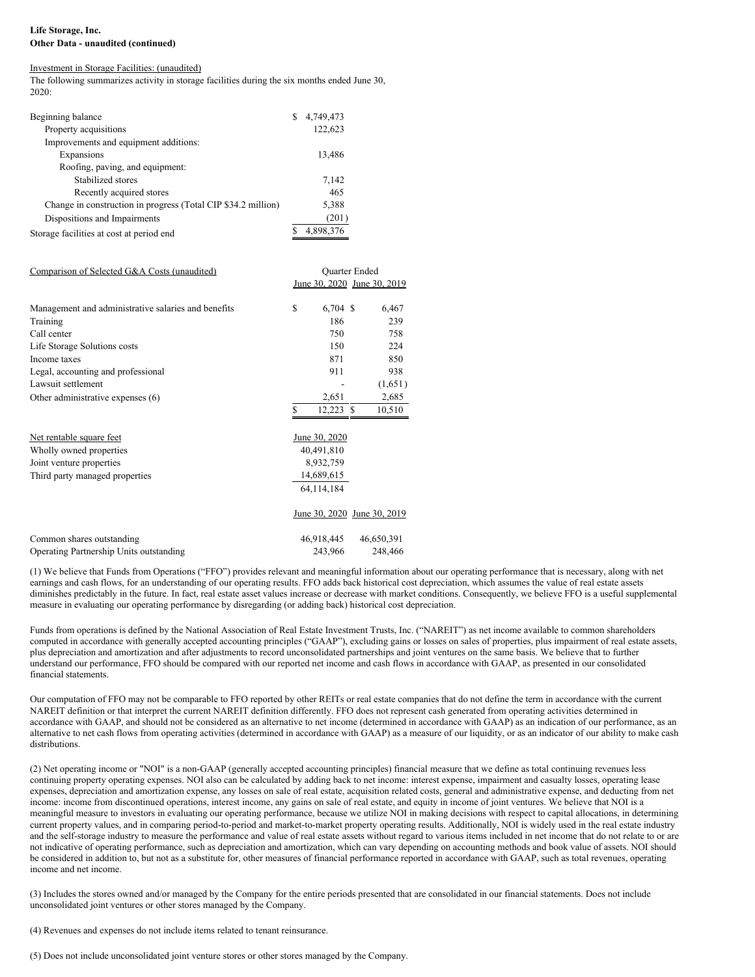## **Life Storage, Inc. Other Data - unaudited (continued)**

#### Investment in Storage Facilities: (unaudited)

The following summarizes activity in storage facilities during the six months ended June 30, 2020:

| Beginning balance                                             | S. | 4,749,473 |
|---------------------------------------------------------------|----|-----------|
| Property acquisitions                                         |    | 122,623   |
| Improvements and equipment additions:                         |    |           |
| Expansions                                                    |    | 13,486    |
| Roofing, paving, and equipment:                               |    |           |
| Stabilized stores                                             |    | 7,142     |
| Recently acquired stores                                      |    | 465       |
| Change in construction in progress (Total CIP \$34.2 million) |    | 5,388     |
| Dispositions and Impairments                                  |    | (201)     |
| Storage facilities at cost at period end                      |    | 4,898,376 |

| Comparison of Selected G&A Costs (unaudited)        | <b>Ouarter Ended</b> |                |                             |  |  |  |
|-----------------------------------------------------|----------------------|----------------|-----------------------------|--|--|--|
|                                                     |                      |                | June 30, 2020 June 30, 2019 |  |  |  |
| Management and administrative salaries and benefits | \$                   | 6,704 \$       | 6,467                       |  |  |  |
| Training                                            |                      | 186            | 239                         |  |  |  |
| Call center                                         |                      | 750            | 758                         |  |  |  |
| Life Storage Solutions costs                        |                      | 150            | 224                         |  |  |  |
| Income taxes                                        |                      | 871            | 850                         |  |  |  |
| Legal, accounting and professional                  |                      | 911            | 938                         |  |  |  |
| Lawsuit settlement                                  |                      |                | (1,651)                     |  |  |  |
| Other administrative expenses (6)                   |                      | 2,651          | 2,685                       |  |  |  |
|                                                     | \$                   | 12,223<br>- \$ | 10,510                      |  |  |  |
| Net rentable square feet                            |                      | June 30, 2020  |                             |  |  |  |
| Wholly owned properties                             | 40,491,810           |                |                             |  |  |  |
| Joint venture properties                            | 8,932,759            |                |                             |  |  |  |
| Third party managed properties                      | 14,689,615           |                |                             |  |  |  |

|                                                | June 30, 2020 June 30, 2019 |            |
|------------------------------------------------|-----------------------------|------------|
| Common shares outstanding                      | 46.918.445                  | 46,650,391 |
| <b>Operating Partnership Units outstanding</b> | 243.966                     | 248,466    |

(1) We believe that Funds from Operations ("FFO") provides relevant and meaningful information about our operating performance that is necessary, along with net earnings and cash flows, for an understanding of our operating results. FFO adds back historical cost depreciation, which assumes the value of real estate assets diminishes predictably in the future. In fact, real estate asset values increase or decrease with market conditions. Consequently, we believe FFO is a useful supplemental measure in evaluating our operating performance by disregarding (or adding back) historical cost depreciation.

64,114,184

Funds from operations is defined by the National Association of Real Estate Investment Trusts, Inc. ("NAREIT") as net income available to common shareholders computed in accordance with generally accepted accounting principles ("GAAP"), excluding gains or losses on sales of properties, plus impairment of real estate assets, plus depreciation and amortization and after adjustments to record unconsolidated partnerships and joint ventures on the same basis. We believe that to further understand our performance, FFO should be compared with our reported net income and cash flows in accordance with GAAP, as presented in our consolidated financial statements.

Our computation of FFO may not be comparable to FFO reported by other REITs or real estate companies that do not define the term in accordance with the current NAREIT definition or that interpret the current NAREIT definition differently. FFO does not represent cash generated from operating activities determined in accordance with GAAP, and should not be considered as an alternative to net income (determined in accordance with GAAP) as an indication of our performance, as an alternative to net cash flows from operating activities (determined in accordance with GAAP) as a measure of our liquidity, or as an indicator of our ability to make cash distributions.

(2) Net operating income or "NOI" is a non-GAAP (generally accepted accounting principles) financial measure that we define as total continuing revenues less continuing property operating expenses. NOI also can be calculated by adding back to net income: interest expense, impairment and casualty losses, operating lease expenses, depreciation and amortization expense, any losses on sale of real estate, acquisition related costs, general and administrative expense, and deducting from net income: income from discontinued operations, interest income, any gains on sale of real estate, and equity in income of joint ventures. We believe that NOI is a meaningful measure to investors in evaluating our operating performance, because we utilize NOI in making decisions with respect to capital allocations, in determining current property values, and in comparing period-to-period and market-to-market property operating results. Additionally, NOI is widely used in the real estate industry and the self-storage industry to measure the performance and value of real estate assets without regard to various items included in net income that do not relate to or are not indicative of operating performance, such as depreciation and amortization, which can vary depending on accounting methods and book value of assets. NOI should be considered in addition to, but not as a substitute for, other measures of financial performance reported in accordance with GAAP, such as total revenues, operating income and net income.

(3) Includes the stores owned and/or managed by the Company for the entire periods presented that are consolidated in our financial statements. Does not include unconsolidated joint ventures or other stores managed by the Company.

(4) Revenues and expenses do not include items related to tenant reinsurance.

(5) Does not include unconsolidated joint venture stores or other stores managed by the Company.